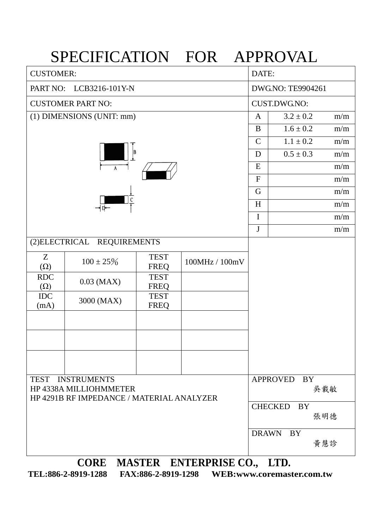|                                                                                                                                                                                                                                                                                                                                                                                      | SPECIFICATION FOR APPROVAL                 |                                     |                      |               |               |     |  |  |  |  |  |
|--------------------------------------------------------------------------------------------------------------------------------------------------------------------------------------------------------------------------------------------------------------------------------------------------------------------------------------------------------------------------------------|--------------------------------------------|-------------------------------------|----------------------|---------------|---------------|-----|--|--|--|--|--|
| <b>CUSTOMER:</b>                                                                                                                                                                                                                                                                                                                                                                     |                                            | DATE:                               |                      |               |               |     |  |  |  |  |  |
| PART NO:                                                                                                                                                                                                                                                                                                                                                                             | LCB3216-101Y-N                             | DWG.NO: TE9904261                   |                      |               |               |     |  |  |  |  |  |
|                                                                                                                                                                                                                                                                                                                                                                                      | <b>CUSTOMER PART NO:</b>                   | <b>CUST.DWG.NO:</b>                 |                      |               |               |     |  |  |  |  |  |
|                                                                                                                                                                                                                                                                                                                                                                                      | (1) DIMENSIONS (UNIT: mm)                  | A                                   | $3.2 \pm 0.2$        | m/m           |               |     |  |  |  |  |  |
|                                                                                                                                                                                                                                                                                                                                                                                      |                                            |                                     |                      | B             | $1.6 \pm 0.2$ | m/m |  |  |  |  |  |
|                                                                                                                                                                                                                                                                                                                                                                                      |                                            |                                     |                      | $\mathcal{C}$ | $1.1 \pm 0.2$ | m/m |  |  |  |  |  |
|                                                                                                                                                                                                                                                                                                                                                                                      |                                            | D                                   | $0.5 \pm 0.3$        | m/m           |               |     |  |  |  |  |  |
|                                                                                                                                                                                                                                                                                                                                                                                      | $\overline{A}$                             | E                                   |                      | m/m           |               |     |  |  |  |  |  |
|                                                                                                                                                                                                                                                                                                                                                                                      |                                            | $\mathbf{F}$                        |                      | m/m           |               |     |  |  |  |  |  |
|                                                                                                                                                                                                                                                                                                                                                                                      |                                            |                                     |                      | G             |               | m/m |  |  |  |  |  |
|                                                                                                                                                                                                                                                                                                                                                                                      | $\rightarrow$ p $\leftarrow$               |                                     |                      | H             |               | m/m |  |  |  |  |  |
|                                                                                                                                                                                                                                                                                                                                                                                      |                                            |                                     |                      | $\mathbf I$   |               | m/m |  |  |  |  |  |
|                                                                                                                                                                                                                                                                                                                                                                                      |                                            |                                     |                      | $\mathbf{J}$  |               | m/m |  |  |  |  |  |
|                                                                                                                                                                                                                                                                                                                                                                                      | (2) ELECTRICAL REQUIREMENTS                |                                     |                      |               |               |     |  |  |  |  |  |
| Z<br>$(\Omega)$                                                                                                                                                                                                                                                                                                                                                                      | $100 \pm 25\%$                             | <b>TEST</b><br><b>FREQ</b>          | 100MHz / 100mV       |               |               |     |  |  |  |  |  |
| <b>RDC</b><br>$(\Omega)$                                                                                                                                                                                                                                                                                                                                                             | $0.03$ (MAX)                               | <b>TEST</b><br><b>FREQ</b>          |                      |               |               |     |  |  |  |  |  |
| <b>IDC</b><br>(mA)                                                                                                                                                                                                                                                                                                                                                                   | 3000 (MAX)                                 | <b>TEST</b><br><b>FREQ</b>          |                      |               |               |     |  |  |  |  |  |
|                                                                                                                                                                                                                                                                                                                                                                                      |                                            |                                     |                      |               |               |     |  |  |  |  |  |
|                                                                                                                                                                                                                                                                                                                                                                                      |                                            |                                     |                      |               |               |     |  |  |  |  |  |
|                                                                                                                                                                                                                                                                                                                                                                                      |                                            |                                     |                      |               |               |     |  |  |  |  |  |
|                                                                                                                                                                                                                                                                                                                                                                                      | TEST INSTRUMENTS<br>HP 4338A MILLIOHMMETER | <b>APPROVED</b><br><b>BY</b><br>吳載敏 |                      |               |               |     |  |  |  |  |  |
|                                                                                                                                                                                                                                                                                                                                                                                      | HP 4291B RF IMPEDANCE / MATERIAL ANALYZER  |                                     |                      |               |               |     |  |  |  |  |  |
|                                                                                                                                                                                                                                                                                                                                                                                      |                                            |                                     | <b>CHECKED</b><br>BY | 張明德           |               |     |  |  |  |  |  |
|                                                                                                                                                                                                                                                                                                                                                                                      |                                            | <b>DRAWN</b>                        | <b>BY</b>            |               |               |     |  |  |  |  |  |
|                                                                                                                                                                                                                                                                                                                                                                                      |                                            |                                     |                      | 黃慧診           |               |     |  |  |  |  |  |
| $\overline{C}$ $\overline{C}$ $\overline{C}$ $\overline{C}$ $\overline{C}$ $\overline{C}$ $\overline{C}$ $\overline{C}$ $\overline{C}$ $\overline{C}$ $\overline{C}$ $\overline{C}$ $\overline{C}$ $\overline{C}$ $\overline{C}$ $\overline{C}$ $\overline{C}$ $\overline{C}$ $\overline{C}$ $\overline{C}$ $\overline{C}$ $\overline{C}$ $\overline{C}$ $\overline{C}$ $\overline{$ |                                            |                                     |                      |               |               |     |  |  |  |  |  |

**CORE MASTER ENTERPRISE CO., LTD.**

**TEL:886-2-8919-1288 FAX:886-2-8919-1298 WEB:www.coremaster.com.tw**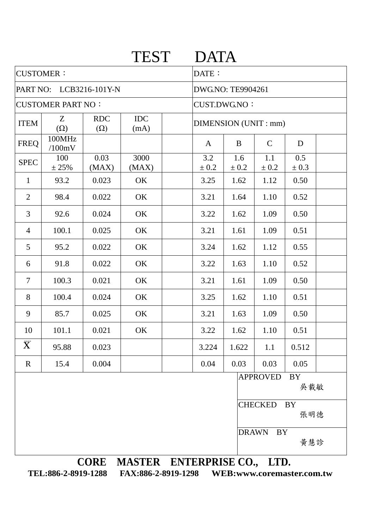|                          |                      |                          | <b>TEST</b>        |  | <b>DATA</b>              |              |                  |                  |  |  |
|--------------------------|----------------------|--------------------------|--------------------|--|--------------------------|--------------|------------------|------------------|--|--|
| <b>CUSTOMER:</b>         |                      |                          |                    |  | DATE:                    |              |                  |                  |  |  |
| PART NO: LCB3216-101Y-N  |                      |                          |                    |  | <b>DWG.NO: TE9904261</b> |              |                  |                  |  |  |
| <b>CUSTOMER PART NO:</b> |                      |                          |                    |  | <b>CUST.DWG.NO:</b>      |              |                  |                  |  |  |
| <b>ITEM</b>              | Z<br>$(\Omega)$      | <b>RDC</b><br>$(\Omega)$ | <b>IDC</b><br>(mA) |  | DIMENSION (UNIT : mm)    |              |                  |                  |  |  |
| <b>FREQ</b>              | 100MHz<br>/100mV     |                          |                    |  | $\mathbf{A}$             | B            | $\mathsf{C}$     | D                |  |  |
| <b>SPEC</b>              | 100<br>± 25%         | 0.03<br>(MAX)            | 3000<br>(MAX)      |  | 3.2<br>± 0.2             | 1.6<br>± 0.2 | 1.1<br>$\pm$ 0.2 | 0.5<br>$\pm$ 0.3 |  |  |
| $\mathbf{1}$             | 93.2                 | 0.023                    | OK                 |  | 3.25                     | 1.62         | 1.12             | 0.50             |  |  |
| $\overline{2}$           | 98.4                 | 0.022                    | OK                 |  | 3.21                     | 1.64         | 1.10             | 0.52             |  |  |
| 3                        | 92.6                 | 0.024                    | OK                 |  | 3.22                     | 1.62         | 1.09             | 0.50             |  |  |
| $\overline{4}$           | 100.1                | 0.025                    | OK                 |  | 3.21                     | 1.61         | 1.09             | 0.51             |  |  |
| 5                        | 95.2                 | 0.022                    | OK                 |  | 3.24                     | 1.62         | 1.12             | 0.55             |  |  |
| 6                        | 91.8                 | 0.022                    | OK                 |  | 3.22                     | 1.63         | 1.10             | 0.52             |  |  |
| $\overline{7}$           | 100.3                | 0.021                    | OK                 |  | 3.21                     | 1.61         | 1.09             | 0.50             |  |  |
| 8                        | 100.4                | 0.024                    | OK                 |  | 3.25                     | 1.62         | 1.10             | 0.51             |  |  |
| 9                        | 85.7                 | 0.025                    | OK                 |  | 3.21                     | 1.63         | 1.09             | 0.50             |  |  |
| 10                       | 101.1                | 0.021                    | OK                 |  | 3.22                     | 1.62         | 1.10             | 0.51             |  |  |
| $\overline{\mathbf{X}}$  | 95.88                | 0.023                    |                    |  | 3.224                    | 1.622        | 1.1              | 0.512            |  |  |
| $\mathbf R$              | 15.4                 | 0.004                    |                    |  | 0.04                     | 0.03         | 0.03             | 0.05             |  |  |
|                          |                      |                          |                    |  |                          |              | <b>APPROVED</b>  | <b>BY</b><br>吳載敏 |  |  |
|                          | CHECKED<br>BY<br>張明德 |                          |                    |  |                          |              |                  |                  |  |  |

DRAWN BY

黃慧診

**CORE MASTER ENTERPRISE CO., LTD.**<br>919-1288 FAX:886-2-8919-1298 WEB:www.coremaster.com.tw

TEL:886-2-8919-1288 FAX:886-2-8919-1298